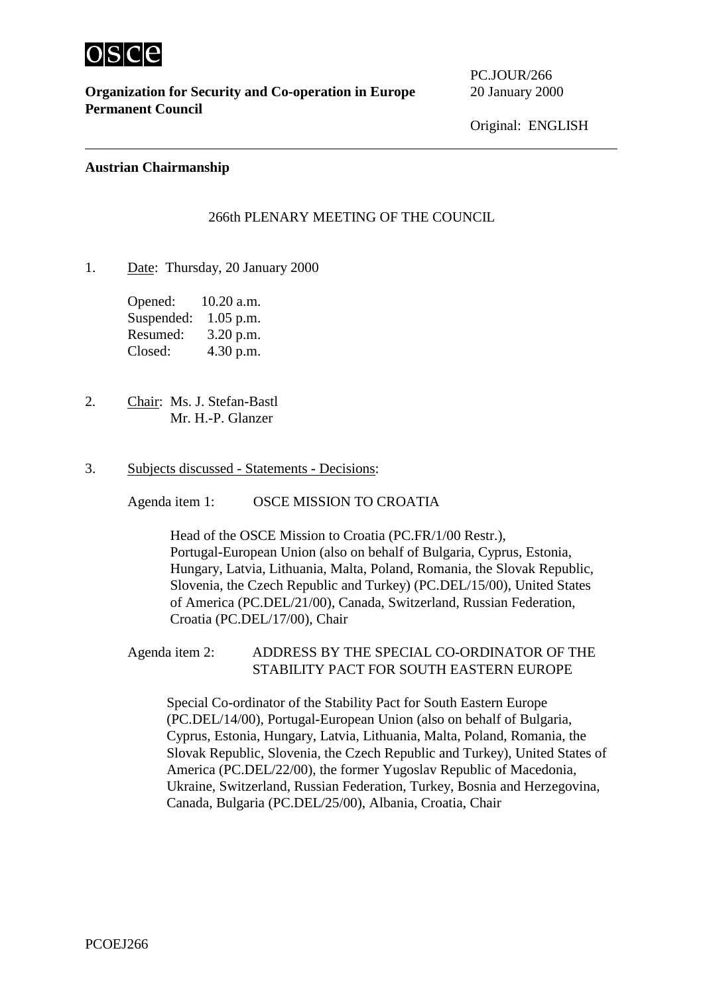

 $\overline{a}$ 

**Organization for Security and Co-operation in Europe** 20 January 2000 **Permanent Council**

PC.JOUR/266

Original: ENGLISH

## **Austrian Chairmanship**

## 266th PLENARY MEETING OF THE COUNCIL

1. Date: Thursday, 20 January 2000

Opened: 10.20 a.m. Suspended: 1.05 p.m. Resumed: 3.20 p.m. Closed: 4.30 p.m.

- 2. Chair: Ms. J. Stefan-Bastl Mr. H.-P. Glanzer
- 3. Subjects discussed Statements Decisions:

Agenda item 1: OSCE MISSION TO CROATIA

Head of the OSCE Mission to Croatia (PC.FR/1/00 Restr.), Portugal-European Union (also on behalf of Bulgaria, Cyprus, Estonia, Hungary, Latvia, Lithuania, Malta, Poland, Romania, the Slovak Republic, Slovenia, the Czech Republic and Turkey) (PC.DEL/15/00), United States of America (PC.DEL/21/00), Canada, Switzerland, Russian Federation, Croatia (PC.DEL/17/00), Chair

Agenda item 2: ADDRESS BY THE SPECIAL CO-ORDINATOR OF THE STABILITY PACT FOR SOUTH EASTERN EUROPE

Special Co-ordinator of the Stability Pact for South Eastern Europe (PC.DEL/14/00), Portugal-European Union (also on behalf of Bulgaria, Cyprus, Estonia, Hungary, Latvia, Lithuania, Malta, Poland, Romania, the Slovak Republic, Slovenia, the Czech Republic and Turkey), United States of America (PC.DEL/22/00), the former Yugoslav Republic of Macedonia, Ukraine, Switzerland, Russian Federation, Turkey, Bosnia and Herzegovina, Canada, Bulgaria (PC.DEL/25/00), Albania, Croatia, Chair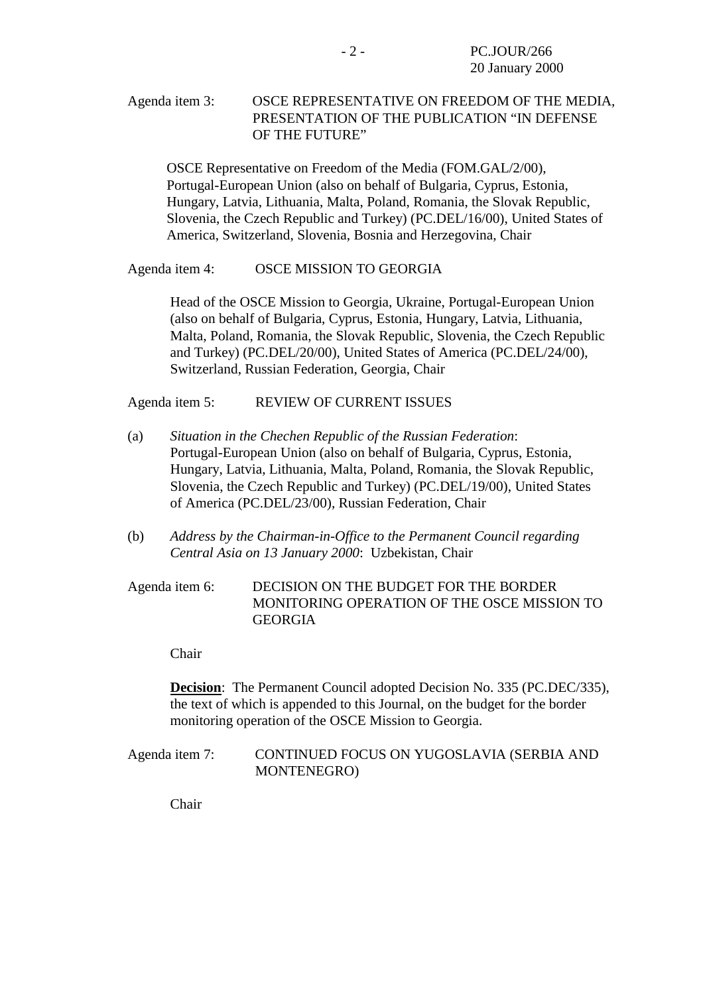# Agenda item 3: OSCE REPRESENTATIVE ON FREEDOM OF THE MEDIA, PRESENTATION OF THE PUBLICATION "IN DEFENSE OF THE FUTURE"

OSCE Representative on Freedom of the Media (FOM.GAL/2/00), Portugal-European Union (also on behalf of Bulgaria, Cyprus, Estonia, Hungary, Latvia, Lithuania, Malta, Poland, Romania, the Slovak Republic, Slovenia, the Czech Republic and Turkey) (PC.DEL/16/00), United States of America, Switzerland, Slovenia, Bosnia and Herzegovina, Chair

#### Agenda item 4: OSCE MISSION TO GEORGIA

Head of the OSCE Mission to Georgia, Ukraine, Portugal-European Union (also on behalf of Bulgaria, Cyprus, Estonia, Hungary, Latvia, Lithuania, Malta, Poland, Romania, the Slovak Republic, Slovenia, the Czech Republic and Turkey) (PC.DEL/20/00), United States of America (PC.DEL/24/00), Switzerland, Russian Federation, Georgia, Chair

Agenda item 5: REVIEW OF CURRENT ISSUES

- (a) *Situation in the Chechen Republic of the Russian Federation*: Portugal-European Union (also on behalf of Bulgaria, Cyprus, Estonia, Hungary, Latvia, Lithuania, Malta, Poland, Romania, the Slovak Republic, Slovenia, the Czech Republic and Turkey) (PC.DEL/19/00), United States of America (PC.DEL/23/00), Russian Federation, Chair
- (b) *Address by the Chairman-in-Office to the Permanent Council regarding Central Asia on 13 January 2000*: Uzbekistan, Chair

# Agenda item 6: DECISION ON THE BUDGET FOR THE BORDER MONITORING OPERATION OF THE OSCE MISSION TO GEORGIA

Chair

**Decision**: The Permanent Council adopted Decision No. 335 (PC.DEC/335), the text of which is appended to this Journal, on the budget for the border monitoring operation of the OSCE Mission to Georgia.

Agenda item 7: CONTINUED FOCUS ON YUGOSLAVIA (SERBIA AND MONTENEGRO)

Chair